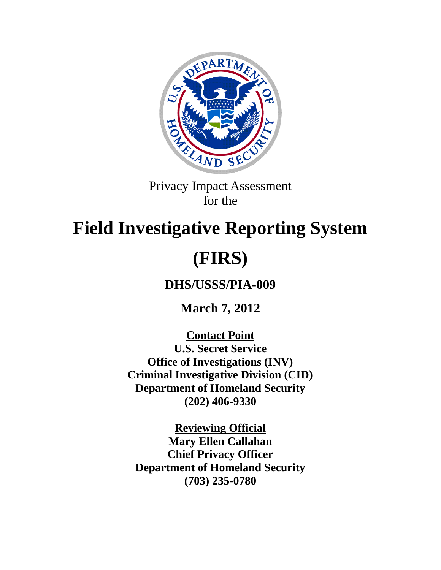

Privacy Impact Assessment for the

# **Field Investigative Reporting System (FIRS)**

**DHS/USSS/PIA-009**

**March 7, 2012**

**Contact Point**

**U.S. Secret Service Office of Investigations (INV) Criminal Investigative Division (CID) Department of Homeland Security (202) 406-9330**

**Reviewing Official Mary Ellen Callahan Chief Privacy Officer Department of Homeland Security (703) 235-0780**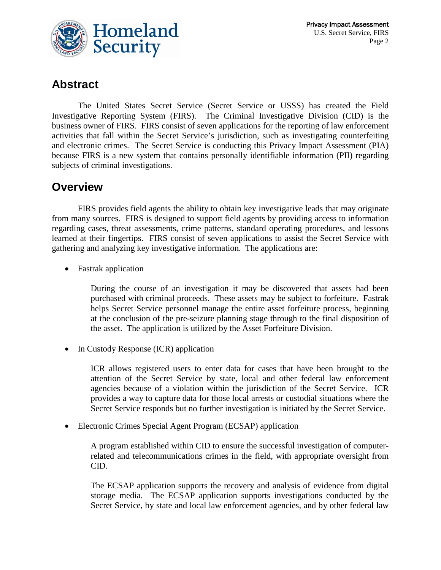

# **Abstract**

The United States Secret Service (Secret Service or USSS) has created the Field Investigative Reporting System (FIRS). The Criminal Investigative Division (CID) is the business owner of FIRS. FIRS consist of seven applications for the reporting of law enforcement activities that fall within the Secret Service's jurisdiction, such as investigating counterfeiting and electronic crimes. The Secret Service is conducting this Privacy Impact Assessment (PIA) because FIRS is a new system that contains personally identifiable information (PII) regarding subjects of criminal investigations.

# **Overview**

FIRS provides field agents the ability to obtain key investigative leads that may originate from many sources. FIRS is designed to support field agents by providing access to information regarding cases, threat assessments, crime patterns, standard operating procedures, and lessons learned at their fingertips. FIRS consist of seven applications to assist the Secret Service with gathering and analyzing key investigative information. The applications are:

• Fastrak application

During the course of an investigation it may be discovered that assets had been purchased with criminal proceeds. These assets may be subject to forfeiture. Fastrak helps Secret Service personnel manage the entire asset forfeiture process, beginning at the conclusion of the pre-seizure planning stage through to the final disposition of the asset. The application is utilized by the Asset Forfeiture Division.

• In Custody Response (ICR) application

ICR allows registered users to enter data for cases that have been brought to the attention of the Secret Service by state, local and other federal law enforcement agencies because of a violation within the jurisdiction of the Secret Service. ICR provides a way to capture data for those local arrests or custodial situations where the Secret Service responds but no further investigation is initiated by the Secret Service.

• Electronic Crimes Special Agent Program (ECSAP) application

A program established within CID to ensure the successful investigation of computerrelated and telecommunications crimes in the field, with appropriate oversight from CID.

The ECSAP application supports the recovery and analysis of evidence from digital storage media. The ECSAP application supports investigations conducted by the Secret Service, by state and local law enforcement agencies, and by other federal law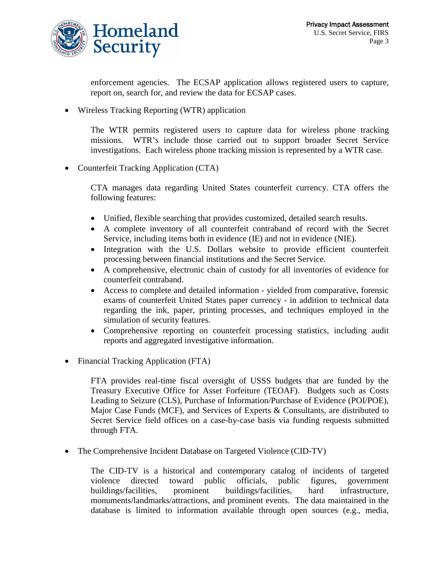

enforcement agencies. The ECSAP application allows registered users to capture, report on, search for, and review the data for ECSAP cases.

• Wireless Tracking Reporting (WTR) application

The WTR permits registered users to capture data for wireless phone tracking missions. WTR's include those carried out to support broader Secret Service investigations. Each wireless phone tracking mission is represented by a WTR case.

• Counterfeit Tracking Application (CTA)

CTA manages data regarding United States counterfeit currency. CTA offers the following features:

- Unified, flexible searching that provides customized, detailed search results.
- A complete inventory of all counterfeit contraband of record with the Secret Service, including items both in evidence (IE) and not in evidence (NIE).
- Integration with the U.S. Dollars website to provide efficient counterfeit processing between financial institutions and the Secret Service.
- A comprehensive, electronic chain of custody for all inventories of evidence for counterfeit contraband.
- Access to complete and detailed information yielded from comparative, forensic exams of counterfeit United States paper currency - in addition to technical data regarding the ink, paper, printing processes, and techniques employed in the simulation of security features.
- Comprehensive reporting on counterfeit processing statistics, including audit reports and aggregated investigative information.
- Financial Tracking Application (FTA)

FTA provides real-time fiscal oversight of USSS budgets that are funded by the Treasury Executive Office for Asset Forfeiture (TEOAF). Budgets such as Costs Leading to Seizure (CLS), Purchase of Information/Purchase of Evidence (POI/POE), Major Case Funds (MCF), and Services of Experts & Consultants, are distributed to Secret Service field offices on a case-by-case basis via funding requests submitted through FTA.

• The Comprehensive Incident Database on Targeted Violence (CID-TV)

The CID-TV is a historical and contemporary catalog of incidents of targeted violence directed toward public officials, public figures, government buildings/facilities, prominent buildings/facilities, hard infrastructure, monuments/landmarks/attractions, and prominent events. The data maintained in the database is limited to information available through open sources (e.g., media,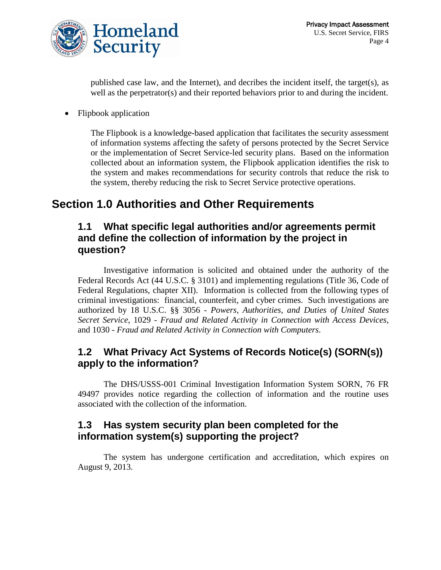

published case law, and the Internet), and decribes the incident itself, the target(s), as well as the perpetrator(s) and their reported behaviors prior to and during the incident.

• Flipbook application

The Flipbook is a knowledge-based application that facilitates the security assessment of information systems affecting the safety of persons protected by the Secret Service or the implementation of Secret Service-led security plans. Based on the information collected about an information system, the Flipbook application identifies the risk to the system and makes recommendations for security controls that reduce the risk to the system, thereby reducing the risk to Secret Service protective operations.

# **Section 1.0 Authorities and Other Requirements**

#### **1.1 What specific legal authorities and/or agreements permit and define the collection of information by the project in question?**

Investigative information is solicited and obtained under the authority of the Federal Records Act (44 U.S.C. § 3101) and implementing regulations (Title 36, Code of Federal Regulations, chapter XII). Information is collected from the following types of criminal investigations: financial, counterfeit, and cyber crimes. Such investigations are authorized by 18 U.S.C. §§ 3056 - *Powers, Authorities, and Duties of United States Secret Service*, 1029 - *Fraud and Related Activity in Connection with Access Devices*, and 1030 - *Fraud and Related Activity in Connection with Computers*.

#### **1.2 What Privacy Act Systems of Records Notice(s) (SORN(s)) apply to the information?**

The DHS/USSS-001 Criminal Investigation Information System SORN, 76 FR 49497 provides notice regarding the collection of information and the routine uses associated with the collection of the information.

#### **1.3 Has system security plan been completed for the information system(s) supporting the project?**

The system has undergone certification and accreditation, which expires on August 9, 2013.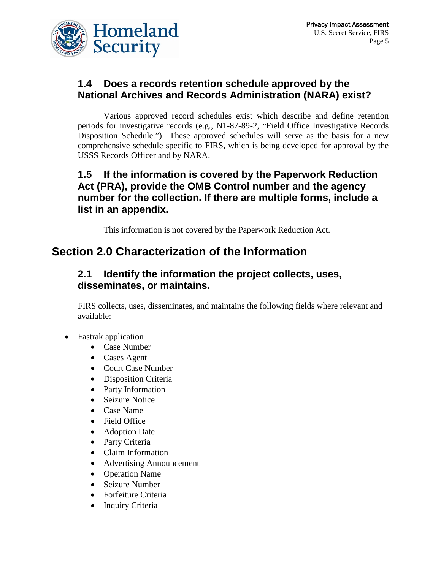

## **1.4 Does a records retention schedule approved by the National Archives and Records Administration (NARA) exist?**

Various approved record schedules exist which describe and define retention periods for investigative records (e.g., N1-87-89-2, "Field Office Investigative Records Disposition Schedule.") These approved schedules will serve as the basis for a new comprehensive schedule specific to FIRS, which is being developed for approval by the USSS Records Officer and by NARA.

## **1.5 If the information is covered by the Paperwork Reduction Act (PRA), provide the OMB Control number and the agency number for the collection. If there are multiple forms, include a list in an appendix.**

This information is not covered by the Paperwork Reduction Act.

# **Section 2.0 Characterization of the Information**

## **2.1 Identify the information the project collects, uses, disseminates, or maintains.**

FIRS collects, uses, disseminates, and maintains the following fields where relevant and available:

- Fastrak application
	- Case Number
	- Cases Agent
	- Court Case Number
	- Disposition Criteria
	- Party Information
	- Seizure Notice
	- Case Name
	- Field Office
	- Adoption Date
	- Party Criteria
	- Claim Information
	- Advertising Announcement
	- Operation Name
	- Seizure Number
	- Forfeiture Criteria
	- Inquiry Criteria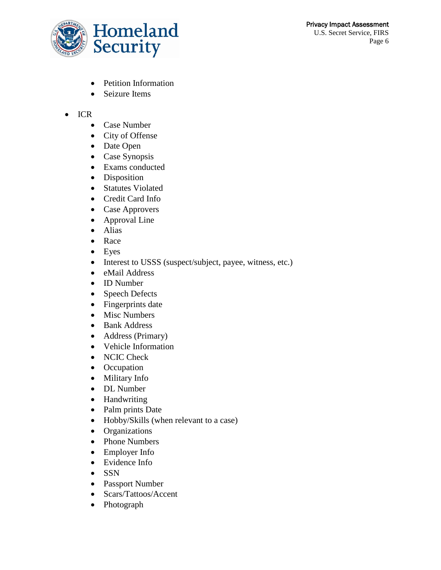

- Petition Information
- Seizure Items
- ICR
	- Case Number
	- City of Offense
	- Date Open
	- Case Synopsis
	- Exams conducted
	- Disposition
	- Statutes Violated
	- Credit Card Info
	- Case Approvers
	- Approval Line
	- Alias
	- Race
	- Eyes
	- Interest to USSS (suspect/subject, payee, witness, etc.)
	- eMail Address
	- ID Number
	- Speech Defects
	- Fingerprints date
	- Misc Numbers
	- Bank Address
	- Address (Primary)
	- Vehicle Information
	- NCIC Check
	- Occupation
	- Military Info
	- DL Number
	- Handwriting
	- Palm prints Date
	- Hobby/Skills (when relevant to a case)
	- Organizations
	- Phone Numbers
	- Employer Info
	- Evidence Info
	- SSN
	- Passport Number
	- Scars/Tattoos/Accent
	- Photograph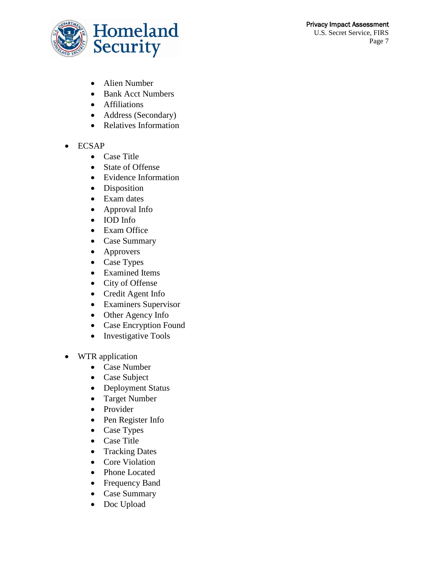#### Privacy Impact Assessment U.S. Secret Service, FIRS Page 7



- Alien Number
- Bank Acct Numbers
- Affiliations
- Address (Secondary)
- Relatives Information

#### • ECSAP

- Case Title
- State of Offense
- Evidence Information
- Disposition
- Exam dates
- Approval Info
- IOD Info
- Exam Office
- Case Summary
- Approvers
- Case Types
- Examined Items
- City of Offense
- Credit Agent Info
- Examiners Supervisor
- Other Agency Info
- Case Encryption Found
- Investigative Tools
- WTR application
	- Case Number
	- Case Subject
	- Deployment Status
	- Target Number
	- Provider
	- Pen Register Info
	- Case Types
	- Case Title
	- Tracking Dates
	- Core Violation
	- Phone Located
	- Frequency Band
	- Case Summary
	- Doc Upload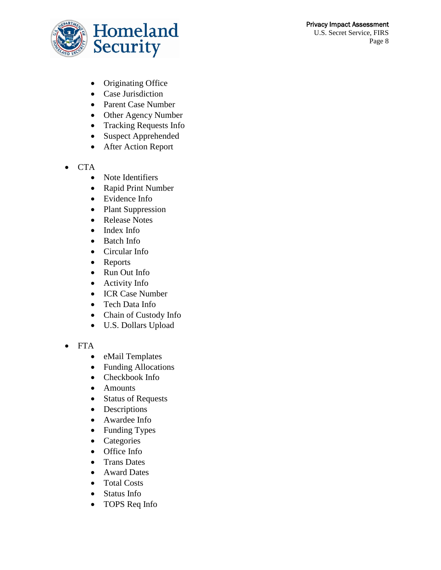#### Privacy Impact Assessment U.S. Secret Service, FIRS

Page 8



- Originating Office
- Case Jurisdiction
- Parent Case Number
- Other Agency Number
- Tracking Requests Info
- Suspect Apprehended
- After Action Report
- CTA
	- Note Identifiers
	- Rapid Print Number
	- Evidence Info
	- Plant Suppression
	- Release Notes
	- Index Info
	- Batch Info
	- Circular Info
	- Reports
	- Run Out Info
	- Activity Info
	- ICR Case Number
	- Tech Data Info
	- Chain of Custody Info
	- U.S. Dollars Upload

#### • FTA

- eMail Templates
- Funding Allocations
- Checkbook Info
- Amounts
- Status of Requests
- Descriptions
- Awardee Info
- Funding Types
- Categories
- Office Info
- Trans Dates
- Award Dates
- Total Costs
- Status Info
- TOPS Req Info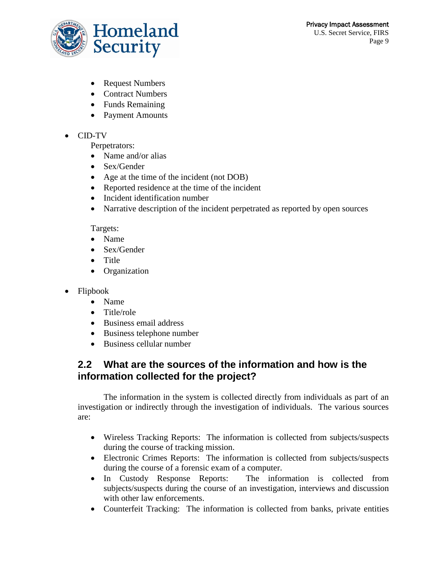

- Request Numbers
- Contract Numbers
- Funds Remaining
- Payment Amounts
- CID-TV

Perpetrators:

- Name and/or alias
- Sex/Gender
- Age at the time of the incident (not DOB)
- Reported residence at the time of the incident
- Incident identification number
- Narrative description of the incident perpetrated as reported by open sources

#### Targets:

- Name
- Sex/Gender
- Title
- Organization
- Flipbook
	- Name
	- Title/role
	- Business email address
	- Business telephone number
	- Business cellular number

## **2.2 What are the sources of the information and how is the information collected for the project?**

The information in the system is collected directly from individuals as part of an investigation or indirectly through the investigation of individuals. The various sources are:

- Wireless Tracking Reports: The information is collected from subjects/suspects during the course of tracking mission.
- Electronic Crimes Reports: The information is collected from subjects/suspects during the course of a forensic exam of a computer.
- In Custody Response Reports: The information is collected from subjects/suspects during the course of an investigation, interviews and discussion with other law enforcements.
- Counterfeit Tracking: The information is collected from banks, private entities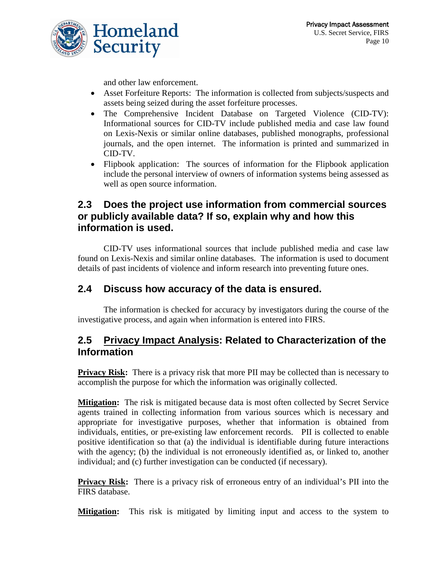

and other law enforcement.

- Asset Forfeiture Reports: The information is collected from subjects/suspects and assets being seized during the asset forfeiture processes.
- The Comprehensive Incident Database on Targeted Violence (CID-TV): Informational sources for CID-TV include published media and case law found on Lexis-Nexis or similar online databases, published monographs, professional journals, and the open internet. The information is printed and summarized in CID-TV.
- Flipbook application: The sources of information for the Flipbook application include the personal interview of owners of information systems being assessed as well as open source information.

#### **2.3 Does the project use information from commercial sources or publicly available data? If so, explain why and how this information is used.**

CID-TV uses informational sources that include published media and case law found on Lexis-Nexis and similar online databases. The information is used to document details of past incidents of violence and inform research into preventing future ones.

#### **2.4 Discuss how accuracy of the data is ensured.**

The information is checked for accuracy by investigators during the course of the investigative process, and again when information is entered into FIRS.

#### **2.5 Privacy Impact Analysis: Related to Characterization of the Information**

**Privacy Risk:** There is a privacy risk that more PII may be collected than is necessary to accomplish the purpose for which the information was originally collected.

**Mitigation:** The risk is mitigated because data is most often collected by Secret Service agents trained in collecting information from various sources which is necessary and appropriate for investigative purposes, whether that information is obtained from individuals, entities, or pre-existing law enforcement records. PII is collected to enable positive identification so that (a) the individual is identifiable during future interactions with the agency; (b) the individual is not erroneously identified as, or linked to, another individual; and (c) further investigation can be conducted (if necessary).

**Privacy Risk:** There is a privacy risk of erroneous entry of an individual's PII into the FIRS database.

**Mitigation:** This risk is mitigated by limiting input and access to the system to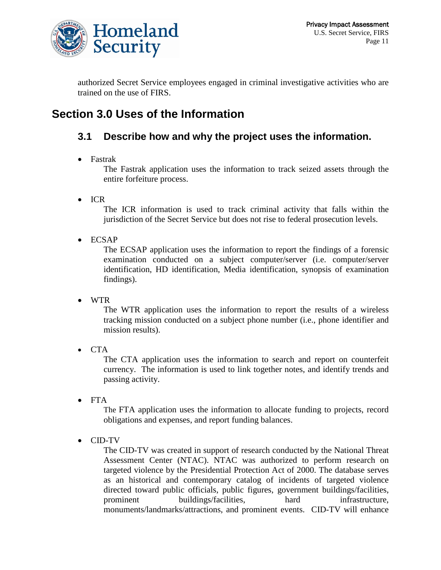

authorized Secret Service employees engaged in criminal investigative activities who are trained on the use of FIRS.

# **Section 3.0 Uses of the Information**

# **3.1 Describe how and why the project uses the information.**

• Fastrak

The Fastrak application uses the information to track seized assets through the entire forfeiture process.

• ICR

The ICR information is used to track criminal activity that falls within the jurisdiction of the Secret Service but does not rise to federal prosecution levels.

• ECSAP

The ECSAP application uses the information to report the findings of a forensic examination conducted on a subject computer/server (i.e. computer/server identification, HD identification, Media identification, synopsis of examination findings).

• WTR

The WTR application uses the information to report the results of a wireless tracking mission conducted on a subject phone number (i.e., phone identifier and mission results).

• CTA

The CTA application uses the information to search and report on counterfeit currency. The information is used to link together notes, and identify trends and passing activity.

• FTA

The FTA application uses the information to allocate funding to projects, record obligations and expenses, and report funding balances.

• CID-TV

The CID-TV was created in support of research conducted by the National Threat Assessment Center (NTAC). NTAC was authorized to perform research on targeted violence by the Presidential Protection Act of 2000. The database serves as an historical and contemporary catalog of incidents of targeted violence directed toward public officials, public figures, government buildings/facilities, prominent buildings/facilities, hard infrastructure, monuments/landmarks/attractions, and prominent events. CID-TV will enhance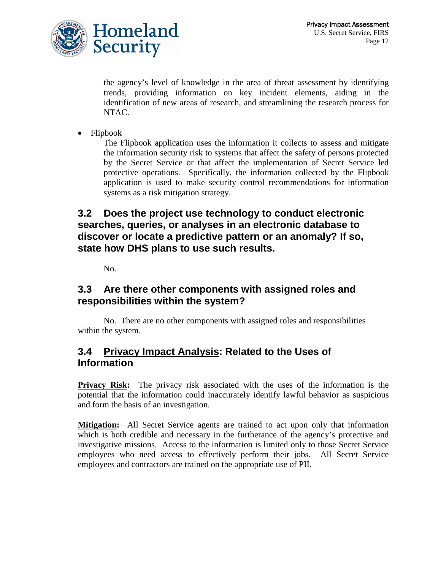

the agency's level of knowledge in the area of threat assessment by identifying trends, providing information on key incident elements, aiding in the identification of new areas of research, and streamlining the research process for NTAC.

• Flipbook

The Flipbook application uses the information it collects to assess and mitigate the information security risk to systems that affect the safety of persons protected by the Secret Service or that affect the implementation of Secret Service led protective operations. Specifically, the information collected by the Flipbook application is used to make security control recommendations for information systems as a risk mitigation strategy.

#### **3.2 Does the project use technology to conduct electronic searches, queries, or analyses in an electronic database to discover or locate a predictive pattern or an anomaly? If so, state how DHS plans to use such results.**

No.

#### **3.3 Are there other components with assigned roles and responsibilities within the system?**

No. There are no other components with assigned roles and responsibilities within the system.

#### **3.4 Privacy Impact Analysis: Related to the Uses of Information**

**Privacy Risk:** The privacy risk associated with the uses of the information is the potential that the information could inaccurately identify lawful behavior as suspicious and form the basis of an investigation.

**Mitigation:** All Secret Service agents are trained to act upon only that information which is both credible and necessary in the furtherance of the agency's protective and investigative missions. Access to the information is limited only to those Secret Service employees who need access to effectively perform their jobs. All Secret Service employees and contractors are trained on the appropriate use of PII.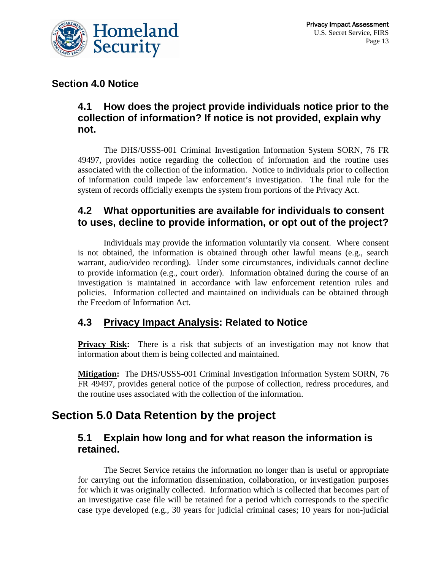

#### **Section 4.0 Notice**

#### **4.1 How does the project provide individuals notice prior to the collection of information? If notice is not provided, explain why not.**

The DHS/USSS-001 Criminal Investigation Information System SORN, 76 FR 49497, provides notice regarding the collection of information and the routine uses associated with the collection of the information. Notice to individuals prior to collection of information could impede law enforcement's investigation. The final rule for the system of records officially exempts the system from portions of the Privacy Act.

#### **4.2 What opportunities are available for individuals to consent to uses, decline to provide information, or opt out of the project?**

Individuals may provide the information voluntarily via consent. Where consent is not obtained, the information is obtained through other lawful means (e.g., search warrant, audio/video recording). Under some circumstances, individuals cannot decline to provide information (e.g., court order). Information obtained during the course of an investigation is maintained in accordance with law enforcement retention rules and policies. Information collected and maintained on individuals can be obtained through the Freedom of Information Act.

## **4.3 Privacy Impact Analysis: Related to Notice**

**Privacy Risk:** There is a risk that subjects of an investigation may not know that information about them is being collected and maintained.

**Mitigation:** The DHS/USSS-001 Criminal Investigation Information System SORN, 76 FR 49497, provides general notice of the purpose of collection, redress procedures, and the routine uses associated with the collection of the information.

# **Section 5.0 Data Retention by the project**

#### **5.1 Explain how long and for what reason the information is retained.**

The Secret Service retains the information no longer than is useful or appropriate for carrying out the information dissemination, collaboration, or investigation purposes for which it was originally collected. Information which is collected that becomes part of an investigative case file will be retained for a period which corresponds to the specific case type developed (e.g., 30 years for judicial criminal cases; 10 years for non-judicial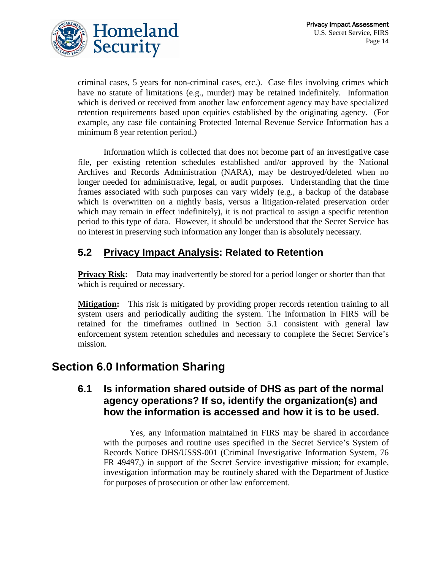

criminal cases, 5 years for non-criminal cases, etc.). Case files involving crimes which have no statute of limitations (e.g., murder) may be retained indefinitely. Information which is derived or received from another law enforcement agency may have specialized retention requirements based upon equities established by the originating agency. (For example, any case file containing Protected Internal Revenue Service Information has a minimum 8 year retention period.)

Information which is collected that does not become part of an investigative case file, per existing retention schedules established and/or approved by the National Archives and Records Administration (NARA), may be destroyed/deleted when no longer needed for administrative, legal, or audit purposes. Understanding that the time frames associated with such purposes can vary widely (e.g., a backup of the database which is overwritten on a nightly basis, versus a litigation-related preservation order which may remain in effect indefinitely), it is not practical to assign a specific retention period to this type of data. However, it should be understood that the Secret Service has no interest in preserving such information any longer than is absolutely necessary.

# **5.2 Privacy Impact Analysis: Related to Retention**

**Privacy Risk:** Data may inadvertently be stored for a period longer or shorter than that which is required or necessary.

**Mitigation:** This risk is mitigated by providing proper records retention training to all system users and periodically auditing the system. The information in FIRS will be retained for the timeframes outlined in Section 5.1 consistent with general law enforcement system retention schedules and necessary to complete the Secret Service's mission.

# **Section 6.0 Information Sharing**

#### **6.1 Is information shared outside of DHS as part of the normal agency operations? If so, identify the organization(s) and how the information is accessed and how it is to be used.**

Yes, any information maintained in FIRS may be shared in accordance with the purposes and routine uses specified in the Secret Service's System of Records Notice DHS/USSS-001 (Criminal Investigative Information System, 76 FR 49497,) in support of the Secret Service investigative mission; for example, investigation information may be routinely shared with the Department of Justice for purposes of prosecution or other law enforcement.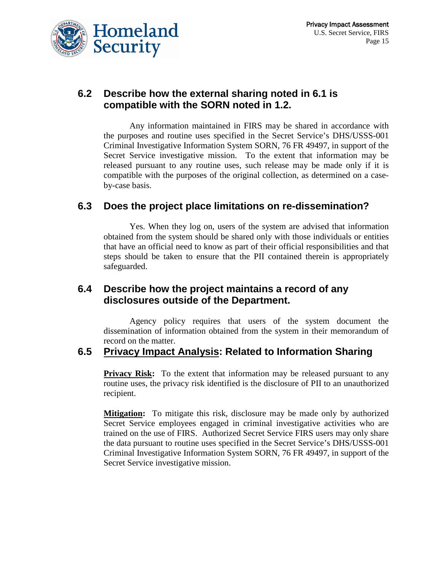

#### **6.2 Describe how the external sharing noted in 6.1 is compatible with the SORN noted in 1.2.**

Any information maintained in FIRS may be shared in accordance with the purposes and routine uses specified in the Secret Service's DHS/USSS-001 Criminal Investigative Information System SORN, 76 FR 49497, in support of the Secret Service investigative mission. To the extent that information may be released pursuant to any routine uses, such release may be made only if it is compatible with the purposes of the original collection, as determined on a caseby-case basis.

#### **6.3 Does the project place limitations on re-dissemination?**

Yes. When they log on, users of the system are advised that information obtained from the system should be shared only with those individuals or entities that have an official need to know as part of their official responsibilities and that steps should be taken to ensure that the PII contained therein is appropriately safeguarded.

#### **6.4 Describe how the project maintains a record of any disclosures outside of the Department.**

Agency policy requires that users of the system document the dissemination of information obtained from the system in their memorandum of record on the matter.

#### **6.5 Privacy Impact Analysis: Related to Information Sharing**

**Privacy Risk:** To the extent that information may be released pursuant to any routine uses, the privacy risk identified is the disclosure of PII to an unauthorized recipient.

**Mitigation:** To mitigate this risk, disclosure may be made only by authorized Secret Service employees engaged in criminal investigative activities who are trained on the use of FIRS. Authorized Secret Service FIRS users may only share the data pursuant to routine uses specified in the Secret Service's DHS/USSS-001 Criminal Investigative Information System SORN, 76 FR 49497, in support of the Secret Service investigative mission.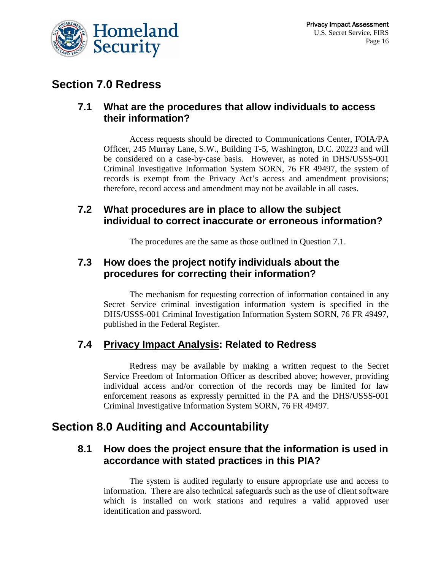

# **Section 7.0 Redress**

#### **7.1 What are the procedures that allow individuals to access their information?**

Access requests should be directed to Communications Center, FOIA/PA Officer, 245 Murray Lane, S.W., Building T-5, Washington, D.C. 20223 and will be considered on a case-by-case basis. However, as noted in DHS/USSS-001 Criminal Investigative Information System SORN, 76 FR 49497, the system of records is exempt from the Privacy Act's access and amendment provisions; therefore, record access and amendment may not be available in all cases.

## **7.2 What procedures are in place to allow the subject individual to correct inaccurate or erroneous information?**

The procedures are the same as those outlined in Question 7.1.

## **7.3 How does the project notify individuals about the procedures for correcting their information?**

The mechanism for requesting correction of information contained in any Secret Service criminal investigation information system is specified in the DHS/USSS-001 Criminal Investigation Information System SORN, 76 FR 49497, published in the Federal Register.

#### **7.4 Privacy Impact Analysis: Related to Redress**

Redress may be available by making a written request to the Secret Service Freedom of Information Officer as described above; however, providing individual access and/or correction of the records may be limited for law enforcement reasons as expressly permitted in the PA and the DHS/USSS-001 Criminal Investigative Information System SORN, 76 FR 49497.

# **Section 8.0 Auditing and Accountability**

#### **8.1 How does the project ensure that the information is used in accordance with stated practices in this PIA?**

The system is audited regularly to ensure appropriate use and access to information. There are also technical safeguards such as the use of client software which is installed on work stations and requires a valid approved user identification and password.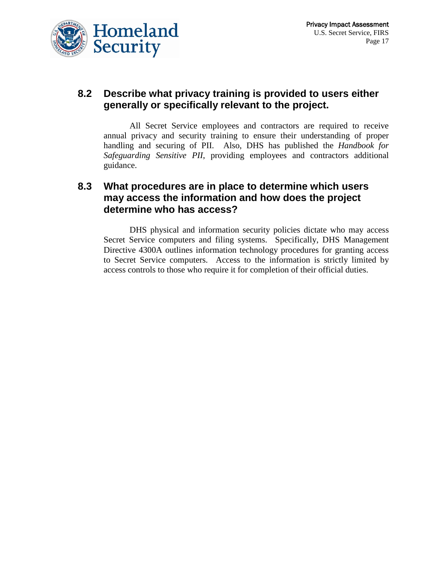

#### **8.2 Describe what privacy training is provided to users either generally or specifically relevant to the project.**

All Secret Service employees and contractors are required to receive annual privacy and security training to ensure their understanding of proper handling and securing of PII. Also, DHS has published the *Handbook for Safeguarding Sensitive PII*, providing employees and contractors additional guidance.

#### **8.3 What procedures are in place to determine which users may access the information and how does the project determine who has access?**

DHS physical and information security policies dictate who may access Secret Service computers and filing systems. Specifically, DHS Management Directive 4300A outlines information technology procedures for granting access to Secret Service computers. Access to the information is strictly limited by access controls to those who require it for completion of their official duties.